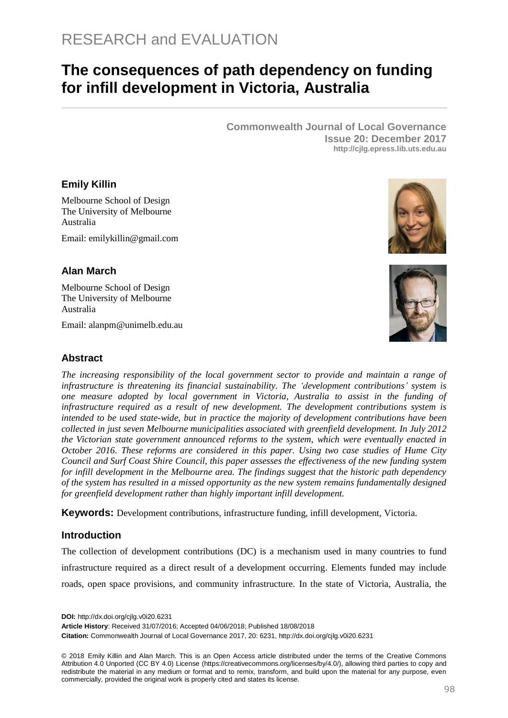# **The consequences of path dependency on funding for infill development in Victoria, Australia**

**Commonwealth Journal of Local Governance Issue 20: December 2017 http://cjlg.epress.lib.uts.edu.au**

## **Emily Killin**

Melbourne School of Design The University of Melbourne Australia

Email: [emilykillin@gmail.com](mailto:emilykillin@gmail.com)

## **Alan March**

Melbourne School of Design The University of Melbourne Australia

Email: alanpm@unimelb.edu.au





#### **Abstract**

*The increasing responsibility of the local government sector to provide and maintain a range of infrastructure is threatening its financial sustainability. The 'development contributions' system is one measure adopted by local government in Victoria, Australia to assist in the funding of infrastructure required as a result of new development. The development contributions system is intended to be used state-wide, but in practice the majority of development contributions have been collected in just seven Melbourne municipalities associated with greenfield development. In July 2012 the Victorian state government announced reforms to the system, which were eventually enacted in October 2016. These reforms are considered in this paper. Using two case studies of Hume City Council and Surf Coast Shire Council, this paper assesses the effectiveness of the new funding system for infill development in the Melbourne area. The findings suggest that the historic path dependency of the system has resulted in a missed opportunity as the new system remains fundamentally designed for greenfield development rather than highly important infill development.*

**Keywords:** Development contributions, infrastructure funding, infill development, Victoria.

#### **Introduction**

The collection of development contributions (DC) is a mechanism used in many countries to fund infrastructure required as a direct result of a development occurring. Elements funded may include roads, open space provisions, and community infrastructure. In the state of Victoria, Australia, the

**DOI:** http://dx.doi.org/cjlg.v0i20.6231

**Article History**: Received 31/07/2016; Accepted 04/06/2018; Published 18/08/2018

**Citation:** Commonwealth Journal of Local Governance 2017, 20: 6231, http://dx.doi.org/cjlg.v0i20.6231

© 2018 Emily Killin and Alan March. This is an Open Access article distributed under the terms of the Creative Commons Attribution 4.0 Unported (CC BY 4.0) License [\(https://creativecommons.org/licenses/by/4.0/\)](https://creativecommons.org/licenses/by/4.0/), allowing third parties to copy and redistribute the material in any medium or format and to remix, transform, and build upon the material for any purpose, even commercially, provided the original work is properly cited and states its license.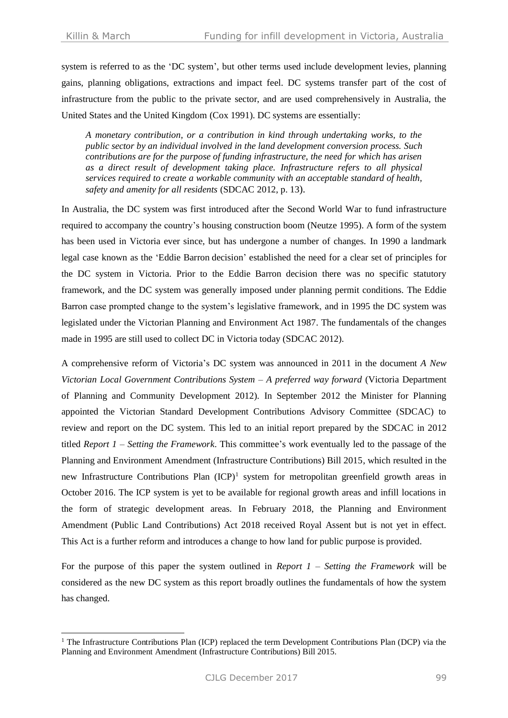-

system is referred to as the 'DC system', but other terms used include development levies, planning gains, planning obligations, extractions and impact feel. DC systems transfer part of the cost of infrastructure from the public to the private sector, and are used comprehensively in Australia, the United States and the United Kingdom (Cox [1991\)](#page-15-0). DC systems are essentially:

*A monetary contribution, or a contribution in kind through undertaking works, to the public sector by an individual involved in the land development conversion process. Such contributions are for the purpose of funding infrastructure, the need for which has arisen as a direct result of development taking place. Infrastructure refers to all physical services required to create a workable community with an acceptable standard of health, safety and amenity for all residents* (SDCAC 2012, p. 13).

In Australia, the DC system was first introduced after the Second World War to fund infrastructure required to accompany the country's housing construction boom [\(Neutze](#page-16-0) 1995). A form of the system has been used in Victoria ever since, but has undergone a number of changes. In 1990 a landmark legal case known as the 'Eddie Barron decision' established the need for a clear set of principles for the DC system in Victoria. Prior to the Eddie Barron decision there was no specific statutory framework, and the DC system was generally imposed under planning permit conditions. The Eddie Barron case prompted change to the system's legislative framework, and in 1995 the DC system was legislated under the Victorian Planning and Environment Act 1987. The fundamentals of the changes made in 1995 are still used to collect DC in Victoria today (SDCAC 2012).

A comprehensive reform of Victoria's DC system was announced in 2011 in the document *A New Victorian Local Government Contributions System – A preferred way forward* (Victoria Department of Planning and Community Development 2012). In September 2012 the Minister for Planning appointed the Victorian Standard Development Contributions Advisory Committee (SDCAC) to review and report on the DC system. This led to an initial report prepared by the SDCAC in 2012 titled *Report 1 – Setting the Framework*. This committee's work eventually led to the passage of the Planning and Environment Amendment (Infrastructure Contributions) Bill 2015, which resulted in the new Infrastructure Contributions Plan (ICP)<sup>1</sup> system for metropolitan greenfield growth areas in October 2016. The ICP system is yet to be available for regional growth areas and infill locations in the form of strategic development areas. In February 2018, the Planning and Environment Amendment (Public Land Contributions) Act 2018 received Royal Assent but is not yet in effect. This Act is a further reform and introduces a change to how land for public purpose is provided.

For the purpose of this paper the system outlined in *Report 1 – Setting the Framework* will be considered as the new DC system as this report broadly outlines the fundamentals of how the system has changed.

<sup>&</sup>lt;sup>1</sup> The Infrastructure Contributions Plan (ICP) replaced the term Development Contributions Plan (DCP) via the Planning and Environment Amendment (Infrastructure Contributions) Bill 2015.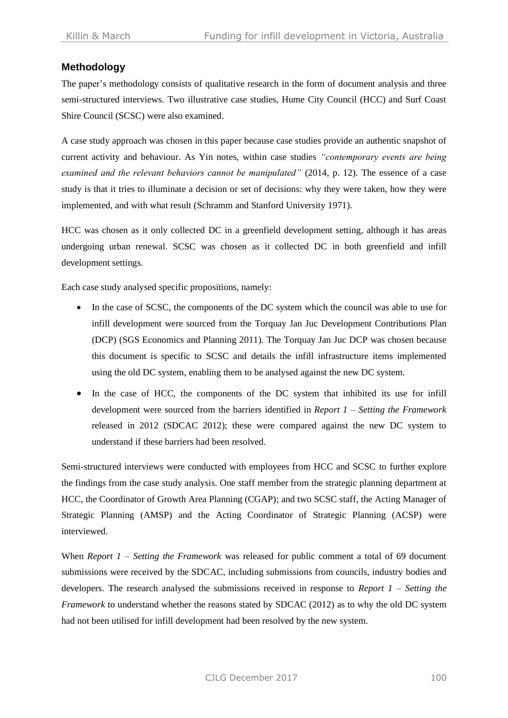## **Methodology**

The paper's methodology consists of qualitative research in the form of document analysis and three semi-structured interviews. Two illustrative case studies, Hume City Council (HCC) and Surf Coast Shire Council (SCSC) were also examined.

A case study approach was chosen in this paper because case studies provide an authentic snapshot of current activity and behaviour. As Yin notes, within case studies *"contemporary events are being examined and the relevant behaviors cannot be manipulated"* [\(2014,](#page-16-1) p. 12). The essence of a case study is that it tries to illuminate a decision or set of decisions: why they were taken, how they were implemented, and with what result (Schramm and [Stanford University](#page-16-2) 1971).

HCC was chosen as it only collected DC in a greenfield development setting, although it has areas undergoing urban renewal. SCSC was chosen as it collected DC in both greenfield and infill development settings.

Each case study analysed specific propositions, namely:

- In the case of SCSC, the components of the DC system which the council was able to use for infill development were sourced from the Torquay Jan Juc Development Contributions Plan (DCP) [\(SGS Economics and Planning 2011\)](#page-16-3). The Torquay Jan Juc DCP was chosen because this document is specific to SCSC and details the infill infrastructure items implemented using the old DC system, enabling them to be analysed against the new DC system.
- In the case of HCC, the components of the DC system that inhibited its use for infill development were sourced from the barriers identified in *Report 1 – Setting the Framework* released in 2012 [\(SDCAC 2012\)](#page-16-4); these were compared against the new DC system to understand if these barriers had been resolved.

Semi-structured interviews were conducted with employees from HCC and SCSC to further explore the findings from the case study analysis. One staff member from the strategic planning department at HCC, the Coordinator of Growth Area Planning (CGAP); and two SCSC staff, the Acting Manager of Strategic Planning (AMSP) and the Acting Coordinator of Strategic Planning (ACSP) were interviewed.

When *Report 1 – Setting the Framework* was released for public comment a total of 69 document submissions were received by the SDCAC, including submissions from councils, industry bodies and developers. The research analysed the submissions received in response to *Report 1 – Setting the Framework* to understand whether the reasons stated by SDCAC (2012) as to why the old DC system had not been utilised for infill development had been resolved by the new system.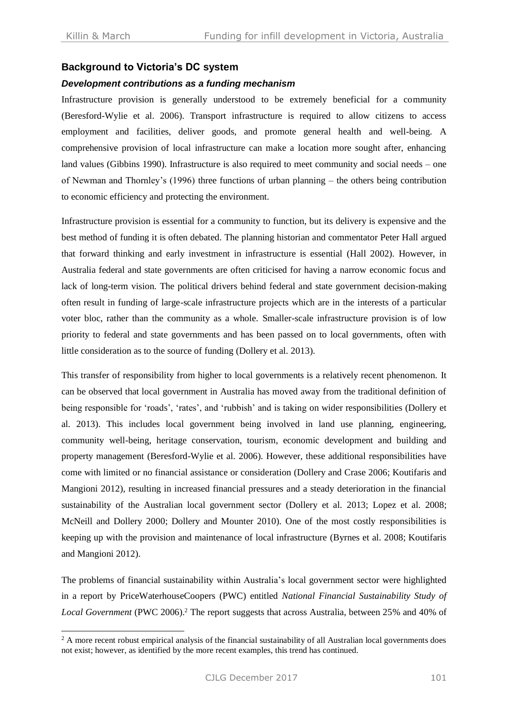$\overline{a}$ 

### **Background to Victoria's DC system**

#### *Development contributions as a funding mechanism*

Infrastructure provision is generally understood to be extremely beneficial for a community (Beresford-Wylie et al. 2006). Transport infrastructure is required to allow citizens to access employment and facilities, deliver goods, and promote general health and well-being. A comprehensive provision of local infrastructure can make a location more sought after, enhancing land values [\(Gibbins](#page-15-1) 1990). Infrastructure is also required to meet community and social needs – one of Newman and Thornley's (1996) three functions of urban planning – the others being contribution to economic efficiency and protecting the environment.

Infrastructure provision is essential for a community to function, but its delivery is expensive and the best method of funding it is often debated. The planning historian and commentator Peter Hall argued that forward thinking and early investment in infrastructure is essential (Hall 2002). However, in Australia federal and state governments are often criticised for having a narrow economic focus and lack of long-term vision. The political drivers behind federal and state government decision-making often result in funding of large-scale infrastructure projects which are in the interests of a particular voter bloc, rather than the community as a whole. Smaller-scale infrastructure provision is of low priority to federal and state governments and has been passed on to local governments, often with little consideration as to the source of funding [\(Dollery et al.](#page-15-2) 2013).

This transfer of responsibility from higher to local governments is a relatively recent phenomenon. It can be observed that local government in Australia has moved away from the traditional definition of being responsible for 'roads', 'rates', and 'rubbish' and is taking on wider responsibilities [\(Dollery et](#page-15-2)  al. [2013\)](#page-15-2). This includes local government being involved in land use planning, engineering, community well-being, heritage conservation, tourism, economic development and building and property management [\(Beresford-Wylie et al. 2006\)](#page-15-3). However, these additional responsibilities have come with limited or no financial assistance or consideration [\(Dollery and](#page-15-4) Crase 2006; [Koutifaris and](#page-16-5)  [Mangioni](#page-16-5) 2012), resulting in increased financial pressures and a steady deterioration in the financial sustainability of the Australian local government sector [\(Dollery et al.](#page-15-2) 2013; [Lopez et al.](#page-16-6) 2008; [McNeill and Dollery](#page-16-7) 2000; [Dollery and](#page-15-5) Mounter 2010). One of the most costly responsibilities is keeping up with the provision and maintenance of local infrastructure [\(Byrnes et al.](#page-15-6) 2008; [Koutifaris](#page-16-5)  [and Mangioni](#page-16-5) 2012).

The problems of financial sustainability within Australia's local government sector were highlighted in a report by PriceWaterhouseCoopers (PWC) entitled *National Financial Sustainability Study of Local Government* [\(PWC](#page-16-8) 2006). <sup>2</sup> The report suggests that across Australia, between 25% and 40% of

<sup>&</sup>lt;sup>2</sup> A more recent robust empirical analysis of the financial sustainability of all Australian local governments does not exist; however, as identified by the more recent examples, this trend has continued.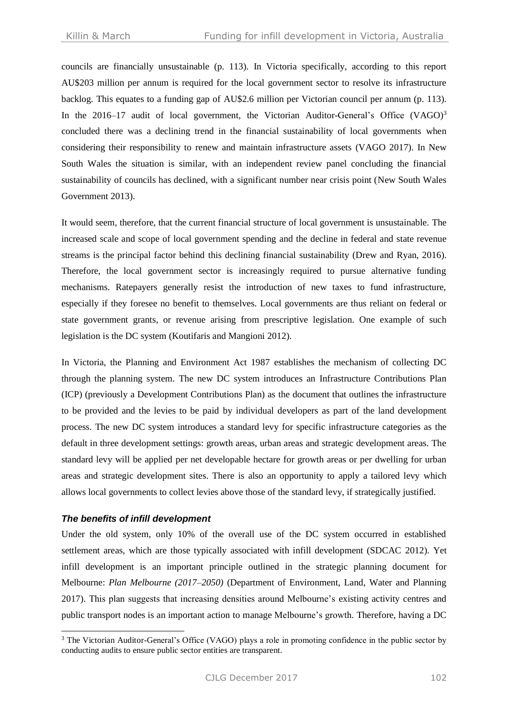councils are financially unsustainable (p. 113). In Victoria specifically, according to this report AU\$203 million per annum is required for the local government sector to resolve its infrastructure backlog. This equates to a funding gap of AU\$2.6 million per Victorian council per annum (p. 113). In the 2016–17 audit of local government, the Victorian Auditor-General's Office (VAGO)<sup>3</sup> concluded there was a declining trend in the financial sustainability of local governments when considering their responsibility to renew and maintain infrastructure assets (VAGO 2017). In New South Wales the situation is similar, with an independent review panel concluding the financial sustainability of councils has declined, with a significant number near crisis point (New South Wales Government 2013).

It would seem, therefore, that the current financial structure of local government is unsustainable. The increased scale and scope of local government spending and the decline in federal and state revenue streams is the principal factor behind this declining financial sustainability (Drew and Ryan, 2016). Therefore, the local government sector is increasingly required to pursue alternative funding mechanisms. Ratepayers generally resist the introduction of new taxes to fund infrastructure, especially if they foresee no benefit to themselves. Local governments are thus reliant on federal or state government grants, or revenue arising from prescriptive legislation. One example of such legislation is the DC system [\(Koutifaris and Mangioni](#page-16-5) 2012).

In Victoria, the Planning and Environment Act 1987 establishes the mechanism of collecting DC through the planning system. The new DC system introduces an Infrastructure Contributions Plan (ICP) (previously a Development Contributions Plan) as the document that outlines the infrastructure to be provided and the levies to be paid by individual developers as part of the land development process. The new DC system introduces a standard levy for specific infrastructure categories as the default in three development settings: growth areas, urban areas and strategic development areas. The standard levy will be applied per net developable hectare for growth areas or per dwelling for urban areas and strategic development sites. There is also an opportunity to apply a tailored levy which allows local governments to collect levies above those of the standard levy, if strategically justified.

#### *The benefits of infill development*

 $\overline{a}$ 

Under the old system, only 10% of the overall use of the DC system occurred in established settlement areas, which are those typically associated with infill development (SDCAC 2012). Yet infill development is an important principle outlined in the strategic planning document for Melbourne: *Plan Melbourne (2017–2050)* (Department of Environment, Land, Water and Planning 2017). This plan suggests that increasing densities around Melbourne's existing activity centres and public transport nodes is an important action to manage Melbourne's growth. Therefore, having a DC

<sup>&</sup>lt;sup>3</sup> The Victorian Auditor-General's Office (VAGO) plays a role in promoting confidence in the public sector by conducting audits to ensure public sector entities are transparent.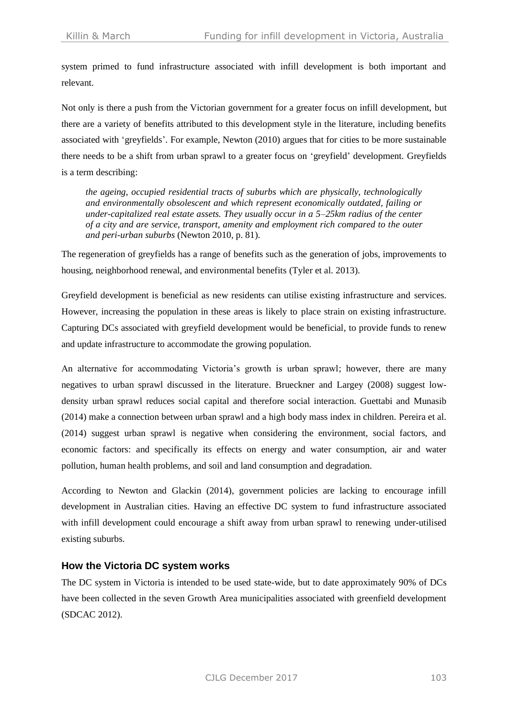system primed to fund infrastructure associated with infill development is both important and relevant.

Not only is there a push from the Victorian government for a greater focus on infill development, but there are a variety of benefits attributed to this development style in the literature, including benefits associated with 'greyfields'. For example, Newton (2010) argues that for cities to be more sustainable there needs to be a shift from urban sprawl to a greater focus on 'greyfield' development. Greyfields is a term describing:

*the ageing, occupied residential tracts of suburbs which are physically, technologically and environmentally obsolescent and which represent economically outdated, failing or under-capitalized real estate assets. They usually occur in a 5–25km radius of the center of a city and are service, transport, amenity and employment rich compared to the outer and peri-urban suburbs* [\(Newton](#page-16-9) 2010, p. 81).

The regeneration of greyfields has a range of benefits such as the generation of jobs, improvements to housing, neighborhood renewal, and environmental benefits [\(Tyler et al.](#page-16-10) 2013).

Greyfield development is beneficial as new residents can utilise existing infrastructure and services. However, increasing the population in these areas is likely to place strain on existing infrastructure. Capturing DCs associated with greyfield development would be beneficial, to provide funds to renew and update infrastructure to accommodate the growing population.

An alternative for accommodating Victoria's growth is urban sprawl; however, there are many negatives to urban sprawl discussed in the literature. Brueckner and Largey (2008) suggest lowdensity urban sprawl reduces social capital and therefore social interaction. Guettabi and Munasib (2014) make a connection between urban sprawl and a high body mass index in children. Pereira et al. (2014) suggest urban sprawl is negative when considering the environment, social factors, and economic factors: and specifically its effects on energy and water consumption, air and water pollution, human health problems, and soil and land consumption and degradation.

According to Newton and Glackin (2014), government policies are lacking to encourage infill development in Australian cities. Having an effective DC system to fund infrastructure associated with infill development could encourage a shift away from urban sprawl to renewing under-utilised existing suburbs.

#### **How the Victoria DC system works**

The DC system in Victoria is intended to be used state-wide, but to date approximately 90% of DCs have been collected in the seven Growth Area municipalities associated with greenfield development (SDCAC 2012).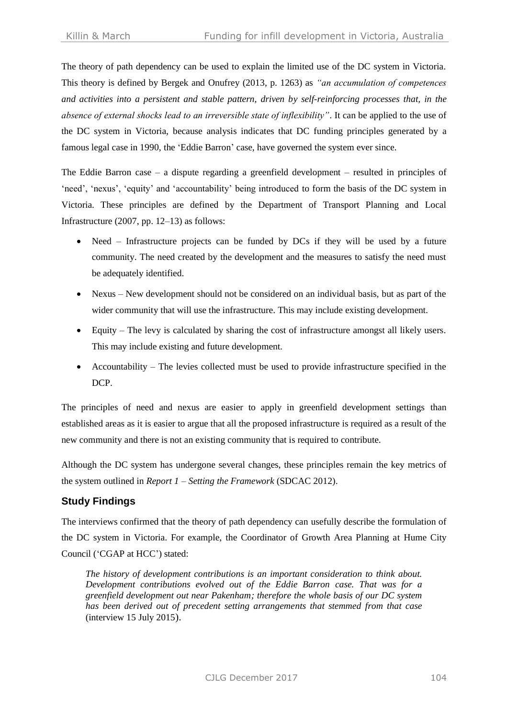The theory of path dependency can be used to explain the limited use of the DC system in Victoria. This theory is defined by Bergek and Onufrey (2013, p. 1263) as *"an accumulation of competences and activities into a persistent and stable pattern, driven by self-reinforcing processes that, in the absence of external shocks lead to an irreversible state of inflexibility"*. It can be applied to the use of the DC system in Victoria, because analysis indicates that DC funding principles generated by a famous legal case in 1990, the 'Eddie Barron' case, have governed the system ever since.

The Eddie Barron case – a dispute regarding a greenfield development – resulted in principles of 'need', 'nexus', 'equity' and 'accountability' being introduced to form the basis of the DC system in Victoria. These principles are defined by the Department of Transport Planning and Local Infrastructure (2007, pp. 12–13) as follows:

- Need Infrastructure projects can be funded by DCs if they will be used by a future community. The need created by the development and the measures to satisfy the need must be adequately identified.
- Nexus New development should not be considered on an individual basis, but as part of the wider community that will use the infrastructure. This may include existing development.
- Equity The levy is calculated by sharing the cost of infrastructure amongst all likely users. This may include existing and future development.
- Accountability The levies collected must be used to provide infrastructure specified in the DCP.

The principles of need and nexus are easier to apply in greenfield development settings than established areas as it is easier to argue that all the proposed infrastructure is required as a result of the new community and there is not an existing community that is required to contribute.

Although the DC system has undergone several changes, these principles remain the key metrics of the system outlined in *Report 1 – Setting the Framework* (SDCAC 2012).

# **Study Findings**

The interviews confirmed that the theory of path dependency can usefully describe the formulation of the DC system in Victoria. For example, the Coordinator of Growth Area Planning at Hume City Council ('CGAP at HCC') stated:

*The history of development contributions is an important consideration to think about. Development contributions evolved out of the Eddie Barron case. That was for a greenfield development out near Pakenham; therefore the whole basis of our DC system has been derived out of precedent setting arrangements that stemmed from that case* (interview 15 July 2015).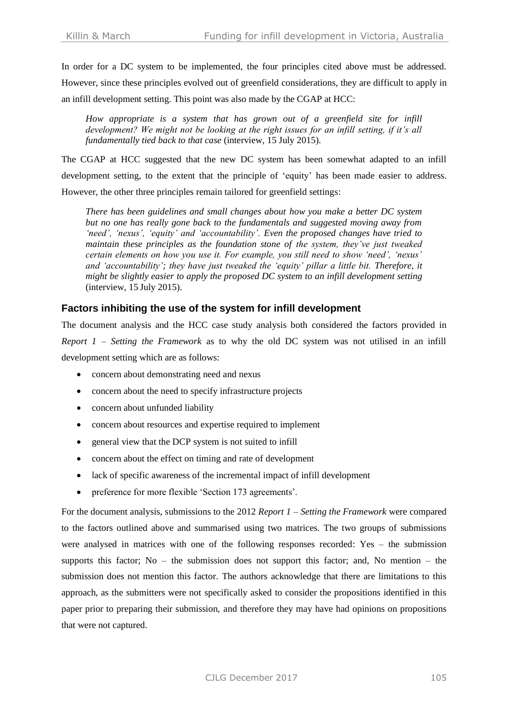In order for a DC system to be implemented, the four principles cited above must be addressed. However, since these principles evolved out of greenfield considerations, they are difficult to apply in an infill development setting. This point was also made by the CGAP at HCC:

*How appropriate is a system that has grown out of a greenfield site for infill development? We might not be looking at the right issues for an infill setting, if it's all fundamentally tied back to that case* (interview, 15 July 2015).

The CGAP at HCC suggested that the new DC system has been somewhat adapted to an infill development setting, to the extent that the principle of 'equity' has been made easier to address. However, the other three principles remain tailored for greenfield settings:

*There has been guidelines and small changes about how you make a better DC system but no one has really gone back to the fundamentals and suggested moving away from 'need', 'nexus', 'equity' and 'accountability'. Even the proposed changes have tried to maintain these principles as the foundation stone of the system, they've just tweaked certain elements on how you use it. For example, you still need to show 'need', 'nexus' and 'accountability'; they have just tweaked the 'equity' pillar a little bit. Therefore, it might be slightly easier to apply the proposed DC system to an infill development setting* (interview, 15 July 2015).

## **Factors inhibiting the use of the system for infill development**

The document analysis and the HCC case study analysis both considered the factors provided in *Report 1 – Setting the Framework* as to why the old DC system was not utilised in an infill development setting which are as follows:

- concern about demonstrating need and nexus
- concern about the need to specify infrastructure projects
- concern about unfunded liability
- concern about resources and expertise required to implement
- general view that the DCP system is not suited to infill
- concern about the effect on timing and rate of development
- lack of specific awareness of the incremental impact of infill development
- preference for more flexible 'Section 173 agreements'.

For the document analysis, submissions to the 2012 *Report 1 – Setting the Framework* were compared to the factors outlined above and summarised using two matrices. The two groups of submissions were analysed in matrices with one of the following responses recorded: Yes – the submission supports this factor; No – the submission does not support this factor; and, No mention – the submission does not mention this factor. The authors acknowledge that there are limitations to this approach, as the submitters were not specifically asked to consider the propositions identified in this paper prior to preparing their submission, and therefore they may have had opinions on propositions that were not captured.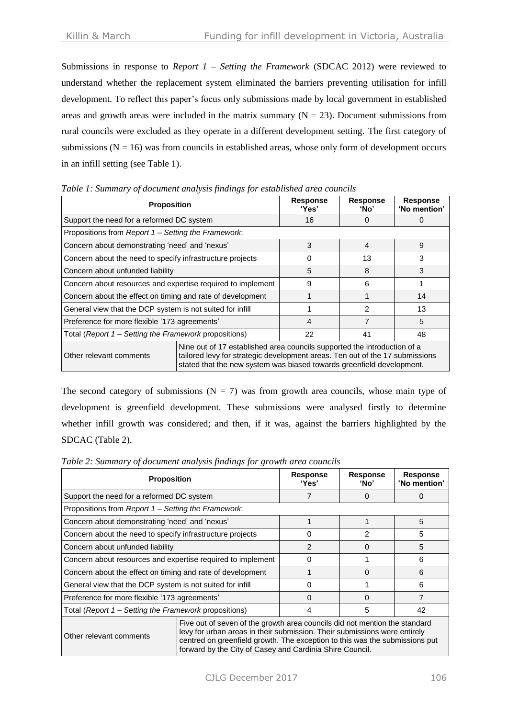Submissions in response to *Report 1 – Setting the Framework* (SDCAC 2012) were reviewed to understand whether the replacement system eliminated the barriers preventing utilisation for infill development. To reflect this paper's focus only submissions made by local government in established areas and growth areas were included in the matrix summary  $(N = 23)$ . Document submissions from rural councils were excluded as they operate in a different development setting. The first category of submissions ( $N = 16$ ) was from councils in established areas, whose only form of development occurs in an infill setting (see Table 1).

| <u>Facto I : Burnham ; of accument analysis financys for established area councilis</u><br><b>Proposition</b> |                                                                                                                                                                                                                                   | <b>Response</b><br>'Yes' | <b>Response</b><br>ʻNo' | <b>Response</b><br>'No mention' |
|---------------------------------------------------------------------------------------------------------------|-----------------------------------------------------------------------------------------------------------------------------------------------------------------------------------------------------------------------------------|--------------------------|-------------------------|---------------------------------|
| Support the need for a reformed DC system                                                                     |                                                                                                                                                                                                                                   | 16                       |                         |                                 |
| Propositions from Report 1 – Setting the Framework:                                                           |                                                                                                                                                                                                                                   |                          |                         |                                 |
| Concern about demonstrating 'need' and 'nexus'                                                                |                                                                                                                                                                                                                                   | 3                        | $\overline{4}$          | 9                               |
| Concern about the need to specify infrastructure projects                                                     |                                                                                                                                                                                                                                   | 0                        | 13                      | 3                               |
| Concern about unfunded liability                                                                              |                                                                                                                                                                                                                                   | 5                        | 8                       | 3                               |
| Concern about resources and expertise required to implement                                                   |                                                                                                                                                                                                                                   | 9                        | 6                       |                                 |
| Concern about the effect on timing and rate of development                                                    |                                                                                                                                                                                                                                   |                          |                         | 14                              |
| General view that the DCP system is not suited for infill                                                     |                                                                                                                                                                                                                                   |                          | $\mathcal{P}$           | 13                              |
| Preference for more flexible '173 agreements'                                                                 |                                                                                                                                                                                                                                   | 4                        |                         | 5                               |
| Total (Report 1 - Setting the Framework propositions)                                                         |                                                                                                                                                                                                                                   | 22                       | 41                      | 48                              |
| Other relevant comments                                                                                       | Nine out of 17 established area councils supported the introduction of a<br>tailored levy for strategic development areas. Ten out of the 17 submissions<br>stated that the new system was biased towards greenfield development. |                          |                         |                                 |

*Table 1: Summary of document analysis findings for established area councils*

The second category of submissions ( $N = 7$ ) was from growth area councils, whose main type of development is greenfield development. These submissions were analysed firstly to determine whether infill growth was considered; and then, if it was, against the barriers highlighted by the SDCAC (Table 2).

*Table 2: Summary of document analysis findings for growth area councils*

| <b>Proposition</b>                                          |                                                                                                                                                                                                                                                                                                    | <b>Response</b><br>'Yes' | <b>Response</b><br>ʻNo' | <b>Response</b><br>'No mention' |
|-------------------------------------------------------------|----------------------------------------------------------------------------------------------------------------------------------------------------------------------------------------------------------------------------------------------------------------------------------------------------|--------------------------|-------------------------|---------------------------------|
| Support the need for a reformed DC system                   |                                                                                                                                                                                                                                                                                                    |                          | O)                      | 0                               |
| Propositions from Report 1 – Setting the Framework:         |                                                                                                                                                                                                                                                                                                    |                          |                         |                                 |
| Concern about demonstrating 'need' and 'nexus'              |                                                                                                                                                                                                                                                                                                    |                          |                         | 5                               |
| Concern about the need to specify infrastructure projects   |                                                                                                                                                                                                                                                                                                    | 0                        | $\mathcal{P}$           | 5                               |
| Concern about unfunded liability                            |                                                                                                                                                                                                                                                                                                    | $\overline{2}$           | 0                       | 5                               |
| Concern about resources and expertise required to implement |                                                                                                                                                                                                                                                                                                    | 0                        |                         | 6                               |
| Concern about the effect on timing and rate of development  |                                                                                                                                                                                                                                                                                                    |                          | 0                       | 6                               |
| General view that the DCP system is not suited for infill   |                                                                                                                                                                                                                                                                                                    | 0                        |                         | 6                               |
| Preference for more flexible '173 agreements'               |                                                                                                                                                                                                                                                                                                    | 0                        | O                       | $\overline{7}$                  |
| Total (Report 1 – Setting the Framework propositions)       |                                                                                                                                                                                                                                                                                                    | 4                        | 5                       | 42                              |
| Other relevant comments                                     | Five out of seven of the growth area councils did not mention the standard<br>levy for urban areas in their submission. Their submissions were entirely<br>centred on greenfield growth. The exception to this was the submissions put<br>forward by the City of Casey and Cardinia Shire Council. |                          |                         |                                 |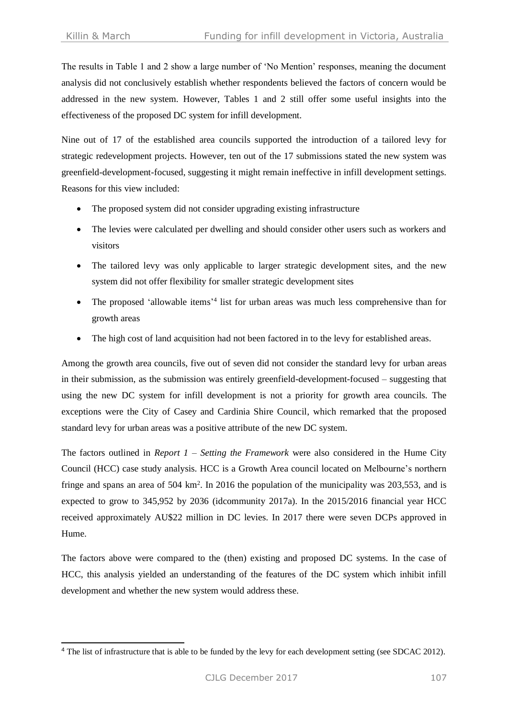-

The results in Table 1 and 2 show a large number of 'No Mention' responses, meaning the document analysis did not conclusively establish whether respondents believed the factors of concern would be addressed in the new system. However, Tables 1 and 2 still offer some useful insights into the effectiveness of the proposed DC system for infill development.

Nine out of 17 of the established area councils supported the introduction of a tailored levy for strategic redevelopment projects. However, ten out of the 17 submissions stated the new system was greenfield-development-focused, suggesting it might remain ineffective in infill development settings. Reasons for this view included:

- The proposed system did not consider upgrading existing infrastructure
- The levies were calculated per dwelling and should consider other users such as workers and visitors
- The tailored levy was only applicable to larger strategic development sites, and the new system did not offer flexibility for smaller strategic development sites
- The proposed 'allowable items'<sup>4</sup> list for urban areas was much less comprehensive than for growth areas
- The high cost of land acquisition had not been factored in to the levy for established areas.

Among the growth area councils, five out of seven did not consider the standard levy for urban areas in their submission, as the submission was entirely greenfield-development-focused – suggesting that using the new DC system for infill development is not a priority for growth area councils. The exceptions were the City of Casey and Cardinia Shire Council, which remarked that the proposed standard levy for urban areas was a positive attribute of the new DC system.

The factors outlined in *Report 1 – Setting the Framework* were also considered in the Hume City Council (HCC) case study analysis. HCC is a Growth Area council located on Melbourne's northern fringe and spans an area of 504 km<sup>2</sup>. In 2016 the population of the municipality was 203,553, and is expected to grow to 345,952 by 2036 (idcommunity 2017a). In the 2015/2016 financial year HCC received approximately AU\$22 million in DC levies. In 2017 there were seven DCPs approved in Hume.

The factors above were compared to the (then) existing and proposed DC systems. In the case of HCC, this analysis yielded an understanding of the features of the DC system which inhibit infill development and whether the new system would address these.

 $4$  The list of infrastructure that is able to be funded by the levy for each development setting (see SDCAC 2012).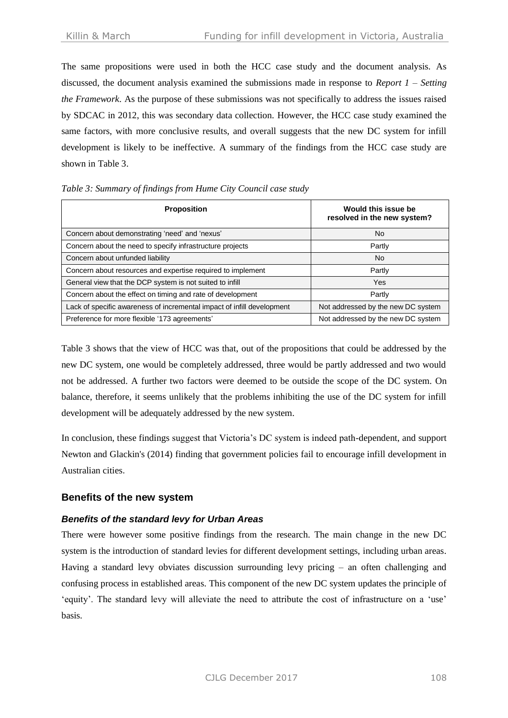The same propositions were used in both the HCC case study and the document analysis. As discussed, the document analysis examined the submissions made in response to *Report 1 – Setting the Framework*. As the purpose of these submissions was not specifically to address the issues raised by SDCAC in 2012, this was secondary data collection. However, the HCC case study examined the same factors, with more conclusive results, and overall suggests that the new DC system for infill development is likely to be ineffective. A summary of the findings from the HCC case study are shown in Table 3.

| <b>Proposition</b>                                                     | Would this issue be<br>resolved in the new system? |  |
|------------------------------------------------------------------------|----------------------------------------------------|--|
| Concern about demonstrating 'need' and 'nexus'                         | No                                                 |  |
| Concern about the need to specify infrastructure projects              | Partly                                             |  |
| Concern about unfunded liability                                       | No                                                 |  |
| Concern about resources and expertise required to implement            | Partly                                             |  |
| General view that the DCP system is not suited to infill               | Yes                                                |  |
| Concern about the effect on timing and rate of development             | Partly                                             |  |
| Lack of specific awareness of incremental impact of infill development | Not addressed by the new DC system                 |  |
| Preference for more flexible '173 agreements'                          | Not addressed by the new DC system                 |  |

#### *Table 3: Summary of findings from Hume City Council case study*

Table 3 shows that the view of HCC was that, out of the propositions that could be addressed by the new DC system, one would be completely addressed, three would be partly addressed and two would not be addressed. A further two factors were deemed to be outside the scope of the DC system. On balance, therefore, it seems unlikely that the problems inhibiting the use of the DC system for infill development will be adequately addressed by the new system.

In conclusion, these findings suggest that Victoria's DC system is indeed path-dependent, and support Newton and Glackin's (2014) finding that government policies fail to encourage infill development in Australian cities.

## **Benefits of the new system**

## *Benefits of the standard levy for Urban Areas*

There were however some positive findings from the research. The main change in the new DC system is the introduction of standard levies for different development settings, including urban areas. Having a standard levy obviates discussion surrounding levy pricing – an often challenging and confusing process in established areas. This component of the new DC system updates the principle of 'equity'. The standard levy will alleviate the need to attribute the cost of infrastructure on a 'use' basis.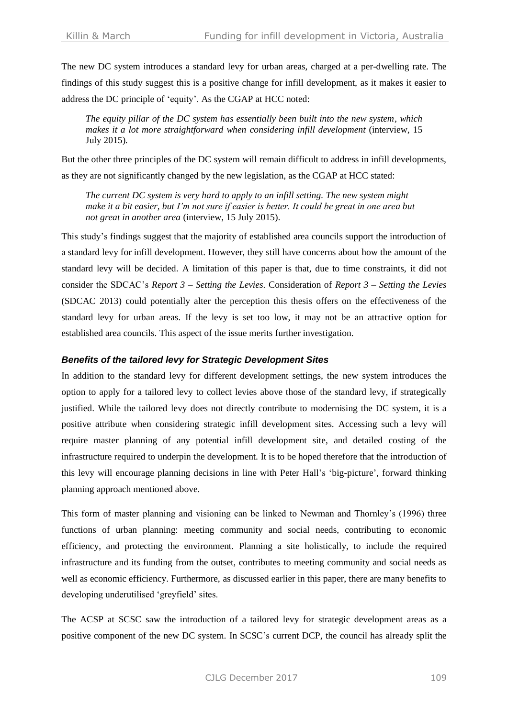The new DC system introduces a standard levy for urban areas, charged at a per-dwelling rate. The findings of this study suggest this is a positive change for infill development, as it makes it easier to address the DC principle of 'equity'. As the CGAP at HCC noted:

*The equity pillar of the DC system has essentially been built into the new system, which makes it a lot more straightforward when considering infill development* (interview, 15 July 2015)*.*

But the other three principles of the DC system will remain difficult to address in infill developments, as they are not significantly changed by the new legislation, as the CGAP at HCC stated:

*The current DC system is very hard to apply to an infill setting. The new system might make it a bit easier, but I'm not sure if easier is better. It could be great in one area but not great in another area* (interview, 15 July 2015).

This study's findings suggest that the majority of established area councils support the introduction of a standard levy for infill development. However, they still have concerns about how the amount of the standard levy will be decided. A limitation of this paper is that, due to time constraints, it did not consider the SDCAC's *Report 3 – Setting the Levies*. Consideration of *Report 3 – Setting the Levies* (SDCAC 2013) could potentially alter the perception this thesis offers on the effectiveness of the standard levy for urban areas. If the levy is set too low, it may not be an attractive option for established area councils. This aspect of the issue merits further investigation.

#### *Benefits of the tailored levy for Strategic Development Sites*

In addition to the standard levy for different development settings, the new system introduces the option to apply for a tailored levy to collect levies above those of the standard levy, if strategically justified. While the tailored levy does not directly contribute to modernising the DC system, it is a positive attribute when considering strategic infill development sites. Accessing such a levy will require master planning of any potential infill development site, and detailed costing of the infrastructure required to underpin the development. It is to be hoped therefore that the introduction of this levy will encourage planning decisions in line with Peter Hall's 'big-picture', forward thinking planning approach mentioned above.

This form of master planning and visioning can be linked to Newman and Thornley's (1996) three functions of urban planning: meeting community and social needs, contributing to economic efficiency, and protecting the environment. Planning a site holistically, to include the required infrastructure and its funding from the outset, contributes to meeting community and social needs as well as economic efficiency. Furthermore, as discussed earlier in this paper, there are many benefits to developing underutilised 'greyfield' sites.

The ACSP at SCSC saw the introduction of a tailored levy for strategic development areas as a positive component of the new DC system. In SCSC's current DCP, the council has already split the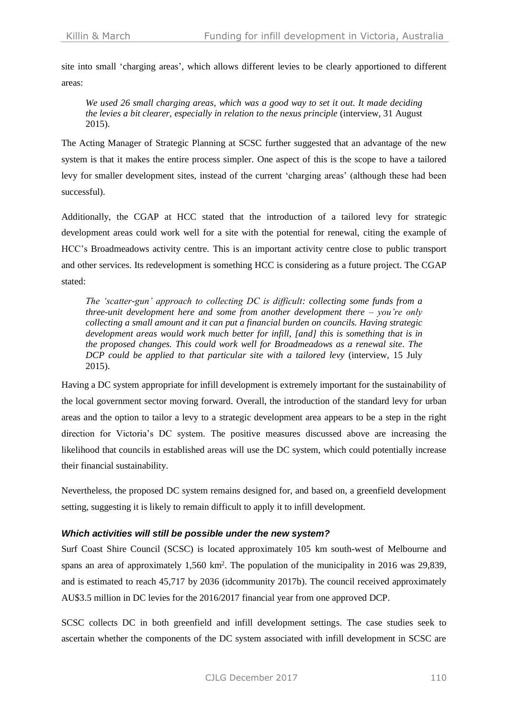site into small 'charging areas', which allows different levies to be clearly apportioned to different areas:

*We used 26 small charging areas, which was a good way to set it out. It made deciding the levies a bit clearer, especially in relation to the nexus principle* (interview, 31 August 2015).

The Acting Manager of Strategic Planning at SCSC further suggested that an advantage of the new system is that it makes the entire process simpler. One aspect of this is the scope to have a tailored levy for smaller development sites, instead of the current 'charging areas' (although these had been successful).

Additionally, the CGAP at HCC stated that the introduction of a tailored levy for strategic development areas could work well for a site with the potential for renewal, citing the example of HCC's Broadmeadows activity centre. This is an important activity centre close to public transport and other services. Its redevelopment is something HCC is considering as a future project. The CGAP stated:

*The 'scatter-gun' approach to collecting DC is difficult: collecting some funds from a three-unit development here and some from another development there – you're only collecting a small amount and it can put a financial burden on councils. Having strategic development areas would work much better for infill, [and] this is something that is in the proposed changes. This could work well for Broadmeadows as a renewal site. The DCP could be applied to that particular site with a tailored levy* (interview, 15 July 2015).

Having a DC system appropriate for infill development is extremely important for the sustainability of the local government sector moving forward. Overall, the introduction of the standard levy for urban areas and the option to tailor a levy to a strategic development area appears to be a step in the right direction for Victoria's DC system. The positive measures discussed above are increasing the likelihood that councils in established areas will use the DC system, which could potentially increase their financial sustainability.

Nevertheless, the proposed DC system remains designed for, and based on, a greenfield development setting, suggesting it is likely to remain difficult to apply it to infill development.

#### *Which activities will still be possible under the new system?*

Surf Coast Shire Council (SCSC) is located approximately 105 km south-west of Melbourne and spans an area of approximately 1,560 km<sup>2</sup>. The population of the municipality in 2016 was 29,839, and is estimated to reach 45,717 by 2036 (idcommunity 2017b). The council received approximately AU\$3.5 million in DC levies for the 2016/2017 financial year from one approved DCP.

SCSC collects DC in both greenfield and infill development settings. The case studies seek to ascertain whether the components of the DC system associated with infill development in SCSC are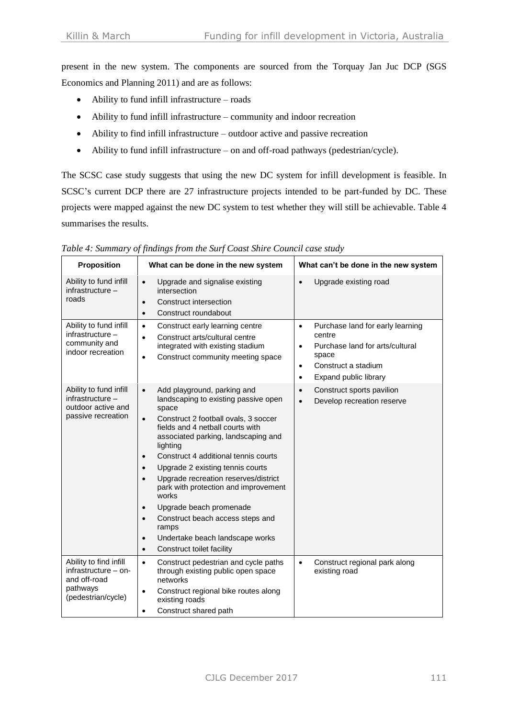present in the new system. The components are sourced from the Torquay Jan Juc DCP [\(SGS](#page-16-3)  [Economics and Planning 2011\)](#page-16-3) and are as follows:

- Ability to fund infill infrastructure roads
- Ability to fund infill infrastructure community and indoor recreation
- Ability to find infill infrastructure outdoor active and passive recreation
- Ability to fund infill infrastructure on and off-road pathways (pedestrian/cycle).

The SCSC case study suggests that using the new DC system for infill development is feasible. In SCSC's current DCP there are 27 infrastructure projects intended to be part-funded by DC. These projects were mapped against the new DC system to test whether they will still be achievable. Table 4 summarises the results.

| <b>Proposition</b>                                                                                 | What can be done in the new system                                                                                                                                                                                                                                                                                                                                                                                                                                                                                                                                                                                                            | What can't be done in the new system                                                                                                                                                       |  |  |
|----------------------------------------------------------------------------------------------------|-----------------------------------------------------------------------------------------------------------------------------------------------------------------------------------------------------------------------------------------------------------------------------------------------------------------------------------------------------------------------------------------------------------------------------------------------------------------------------------------------------------------------------------------------------------------------------------------------------------------------------------------------|--------------------------------------------------------------------------------------------------------------------------------------------------------------------------------------------|--|--|
| Ability to fund infill<br>infrastructure -<br>roads                                                | Upgrade and signalise existing<br>$\bullet$<br>intersection<br>Construct intersection<br>$\bullet$<br>Construct roundabout<br>$\bullet$                                                                                                                                                                                                                                                                                                                                                                                                                                                                                                       | Upgrade existing road<br>$\bullet$                                                                                                                                                         |  |  |
| Ability to fund infill<br>infrastructure -<br>community and<br>indoor recreation                   | Construct early learning centre<br>$\bullet$<br>Construct arts/cultural centre<br>$\bullet$<br>integrated with existing stadium<br>Construct community meeting space<br>$\bullet$                                                                                                                                                                                                                                                                                                                                                                                                                                                             | Purchase land for early learning<br>$\bullet$<br>centre<br>Purchase land for arts/cultural<br>$\bullet$<br>space<br>Construct a stadium<br>$\bullet$<br>Expand public library<br>$\bullet$ |  |  |
| Ability to fund infill<br>infrastructure -<br>outdoor active and<br>passive recreation             | Add playground, parking and<br>$\bullet$<br>landscaping to existing passive open<br>space<br>Construct 2 football ovals, 3 soccer<br>$\bullet$<br>fields and 4 netball courts with<br>associated parking, landscaping and<br>lighting<br>Construct 4 additional tennis courts<br>$\bullet$<br>Upgrade 2 existing tennis courts<br>$\bullet$<br>Upgrade recreation reserves/district<br>$\bullet$<br>park with protection and improvement<br>works<br>Upgrade beach promenade<br>$\bullet$<br>Construct beach access steps and<br>$\bullet$<br>ramps<br>Undertake beach landscape works<br>$\bullet$<br>Construct toilet facility<br>$\bullet$ | Construct sports pavilion<br>$\bullet$<br>Develop recreation reserve<br>$\bullet$                                                                                                          |  |  |
| Ability to find infill<br>$infrastructure - on-$<br>and off-road<br>pathways<br>(pedestrian/cycle) | Construct pedestrian and cycle paths<br>$\bullet$<br>through existing public open space<br>networks<br>Construct regional bike routes along<br>$\bullet$<br>existing roads<br>Construct shared path<br>$\bullet$                                                                                                                                                                                                                                                                                                                                                                                                                              | Construct regional park along<br>$\bullet$<br>existing road                                                                                                                                |  |  |

*Table 4: Summary of findings from the Surf Coast Shire Council case study*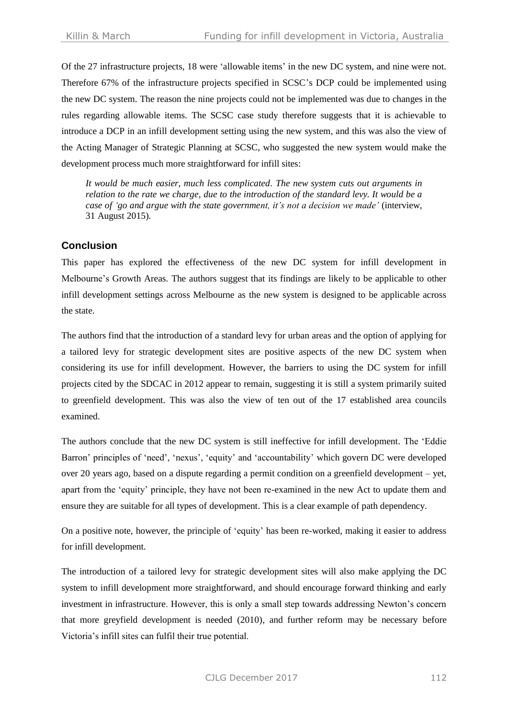Of the 27 infrastructure projects, 18 were 'allowable items' in the new DC system, and nine were not. Therefore 67% of the infrastructure projects specified in SCSC's DCP could be implemented using the new DC system. The reason the nine projects could not be implemented was due to changes in the rules regarding allowable items. The SCSC case study therefore suggests that it is achievable to introduce a DCP in an infill development setting using the new system, and this was also the view of the Acting Manager of Strategic Planning at SCSC, who suggested the new system would make the development process much more straightforward for infill sites:

*It would be much easier, much less complicated. The new system cuts out arguments in relation to the rate we charge, due to the introduction of the standard levy. It would be a case of 'go and argue with the state government, it's not a decision we made'* (interview, 31 August 2015).

## **Conclusion**

This paper has explored the effectiveness of the new DC system for infill development in Melbourne's Growth Areas. The authors suggest that its findings are likely to be applicable to other infill development settings across Melbourne as the new system is designed to be applicable across the state.

The authors find that the introduction of a standard levy for urban areas and the option of applying for a tailored levy for strategic development sites are positive aspects of the new DC system when considering its use for infill development. However, the barriers to using the DC system for infill projects cited by the SDCAC in 2012 appear to remain, suggesting it is still a system primarily suited to greenfield development. This was also the view of ten out of the 17 established area councils examined.

The authors conclude that the new DC system is still ineffective for infill development. The 'Eddie Barron' principles of 'need', 'nexus', 'equity' and 'accountability' which govern DC were developed over 20 years ago, based on a dispute regarding a permit condition on a greenfield development – yet, apart from the 'equity' principle, they have not been re-examined in the new Act to update them and ensure they are suitable for all types of development. This is a clear example of path dependency.

On a positive note, however, the principle of 'equity' has been re-worked, making it easier to address for infill development.

The introduction of a tailored levy for strategic development sites will also make applying the DC system to infill development more straightforward, and should encourage forward thinking and early investment in infrastructure. However, this is only a small step towards addressing Newton's concern that more greyfield development is needed (2010), and further reform may be necessary before Victoria's infill sites can fulfil their true potential.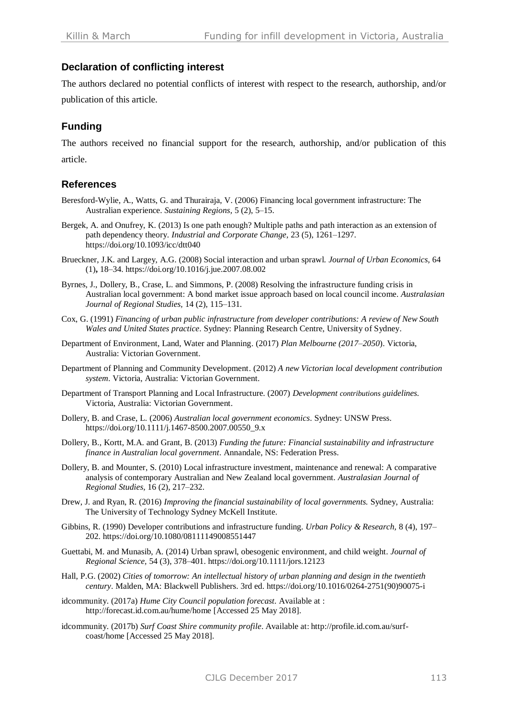## **Declaration of conflicting interest**

The authors declared no potential conflicts of interest with respect to the research, authorship, and/or publication of this article.

# **Funding**

The authors received no financial support for the research, authorship, and/or publication of this article.

## **References**

- <span id="page-15-3"></span>Beresford-Wylie, A., Watts, G. and Thurairaja, V. (2006) Financing local government infrastructure: The Australian experience. *Sustaining Regions,* 5 (2), 5–15.
- Bergek, A. and Onufrey, K. (2013) Is one path enough? Multiple paths and path interaction as an extension of path dependency theory. *Industrial and Corporate Change,* 23 (5), 1261–1297. <https://doi.org/10.1093/icc/dtt040>
- Brueckner, J.K. and Largey, A.G. (2008) Social interaction and urban sprawl. *Journal of Urban Economics,* 64 (1)**,** 18–34. <https://doi.org/10.1016/j.jue.2007.08.002>
- <span id="page-15-6"></span>Byrnes, J., Dollery, B., Crase, L. and Simmons, P. (2008) Resolving the infrastructure funding crisis in Australian local government: A bond market issue approach based on local council income. *Australasian Journal of Regional Studies,* 14 (2), 115–131.
- <span id="page-15-0"></span>Cox, G. (1991) *Financing of urban public infrastructure from developer contributions: A review of New South Wales and United States practice*. Sydney: Planning Research Centre, University of Sydney.
- Department of Environment, Land, Water and Planning. (2017) *Plan Melbourne (2017–2050*). Victoria, Australia: Victorian Government.
- Department of Planning and Community Development. (2012) *A new Victorian local development contribution system*. Victoria, Australia: Victorian Government.
- Department of Transport Planning and Local Infrastructure. (2007) *Development contributions guidelines.* Victoria, Australia: Victorian Government.
- <span id="page-15-4"></span>Dollery, B. and Crase, L. (2006) *Australian local government economics*. Sydney: UNSW Press. [https://doi.org/10.1111/j.1467-8500.2007.00550\\_9.x](https://doi.org/10.1111/j.1467-8500.2007.00550_9.x)
- <span id="page-15-2"></span>Dollery, B., Kortt, M.A. and Grant, B. (2013) *Funding the future: Financial sustainability and infrastructure finance in Australian local government*. Annandale, NS: Federation Press.
- <span id="page-15-5"></span>Dollery, B. and Mounter, S. (2010) Local infrastructure investment, maintenance and renewal: A comparative analysis of contemporary Australian and New Zealand local government. *Australasian Journal of Regional Studies,* 16 (2), 217–232.
- Drew, J. and Ryan, R. (2016) *Improving the financial sustainability of local governments.* Sydney, Australia: The University of Technology Sydney McKell Institute.
- <span id="page-15-1"></span>Gibbins, R. (1990) Developer contributions and infrastructure funding. *Urban Policy & Research,* 8 (4), 197– 202. <https://doi.org/10.1080/08111149008551447>
- Guettabi, M. and Munasib, A. (2014) Urban sprawl, obesogenic environment, and child weight. *Journal of Regional Science,* 54 (3), 378–401. <https://doi.org/10.1111/jors.12123>
- Hall, P.G. (2002) *Cities of tomorrow: An intellectual history of urban planning and design in the twentieth century*. Malden, MA: Blackwell Publishers. 3rd ed. [https://doi.org/10.1016/0264-2751\(90\)90075-i](https://doi.org/10.1016/0264-2751(90)90075-i)
- idcommunity. (2017a) *Hume City Council population forecast*. Available at : http://forecast.id.com.au/hume/home [Accessed 25 May 2018].
- idcommunity. (2017b) *Surf Coast Shire community profile*. Available at: http://profile.id.com.au/surfcoast/home [Accessed 25 May 2018].